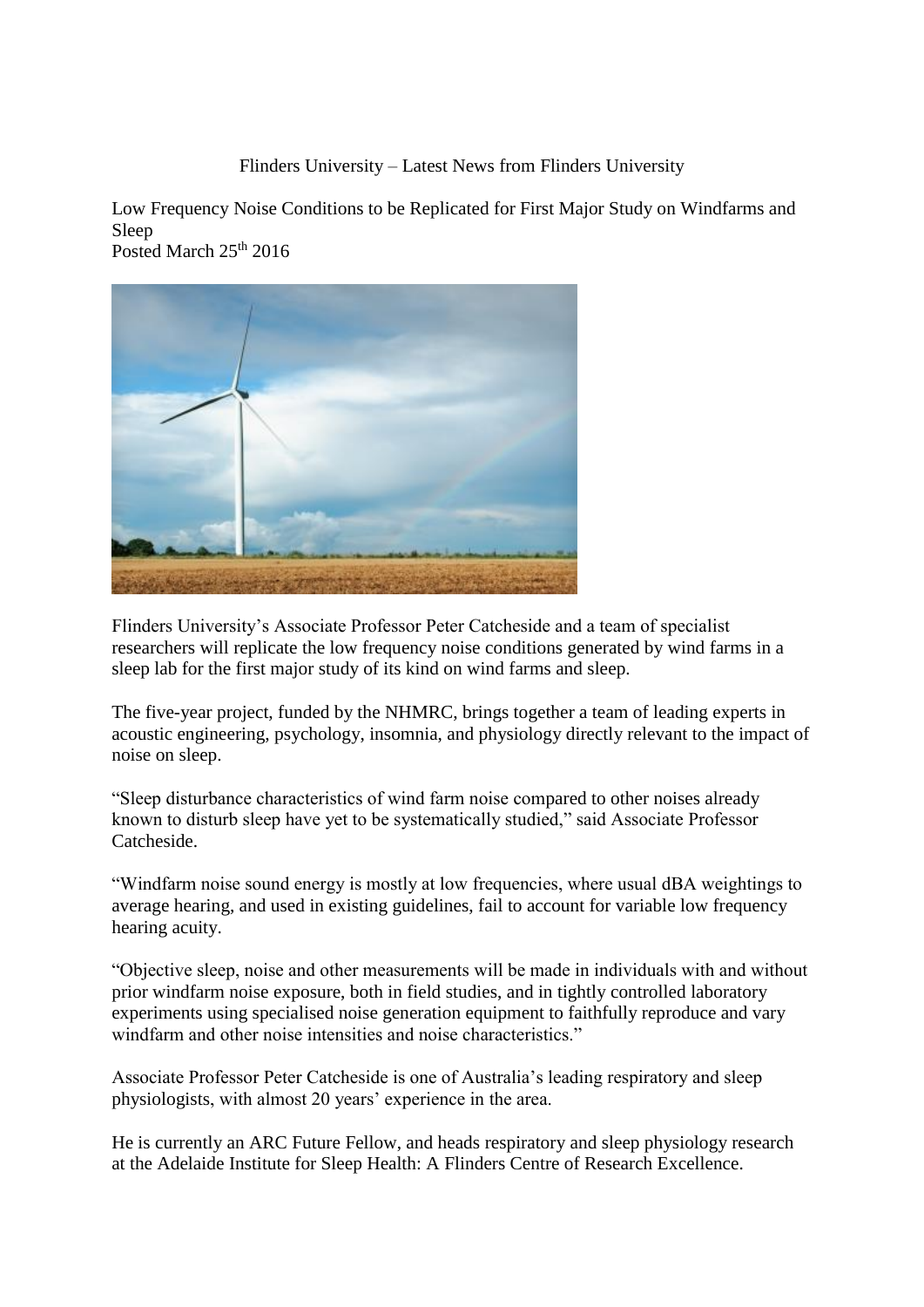## Flinders University – Latest News from Flinders University

Low Frequency Noise Conditions to be Replicated for First Major Study on Windfarms and Sleep Posted March 25<sup>th</sup> 2016



Flinders University's Associate Professor Peter Catcheside and a team of specialist researchers will replicate the low frequency noise conditions generated by wind farms in a sleep lab for the first major study of its kind on wind farms and sleep.

The five-year project, funded by the NHMRC, brings together a team of leading experts in acoustic engineering, psychology, insomnia, and physiology directly relevant to the impact of noise on sleep.

"Sleep disturbance characteristics of wind farm noise compared to other noises already known to disturb sleep have yet to be systematically studied," said Associate Professor Catcheside.

"Windfarm noise sound energy is mostly at low frequencies, where usual dBA weightings to average hearing, and used in existing guidelines, fail to account for variable low frequency hearing acuity.

"Objective sleep, noise and other measurements will be made in individuals with and without prior windfarm noise exposure, both in field studies, and in tightly controlled laboratory experiments using specialised noise generation equipment to faithfully reproduce and vary windfarm and other noise intensities and noise characteristics."

Associate Professor Peter Catcheside is one of Australia's leading respiratory and sleep physiologists, with almost 20 years' experience in the area.

He is currently an ARC Future Fellow, and heads respiratory and sleep physiology research at the Adelaide Institute for Sleep Health: A Flinders Centre of Research Excellence.